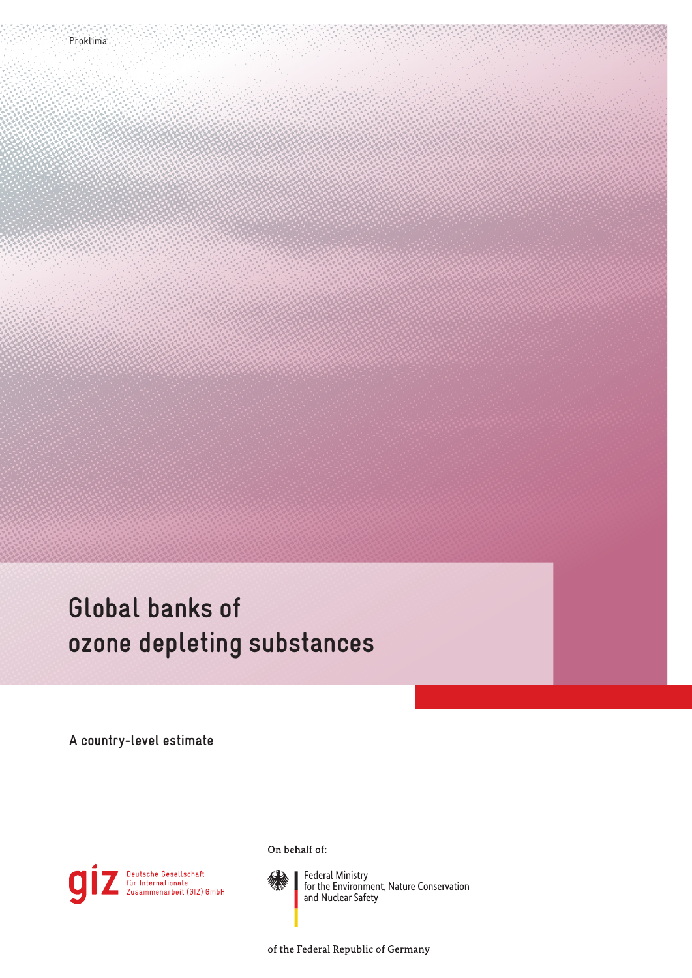# **Global banks of ozone depleting substances**

**A country-level estimate**



On behalf of:



Federal Ministry<br>for the Environment, Nature Conservation<br>and Nuclear Safety

of the Federal Republic of Germany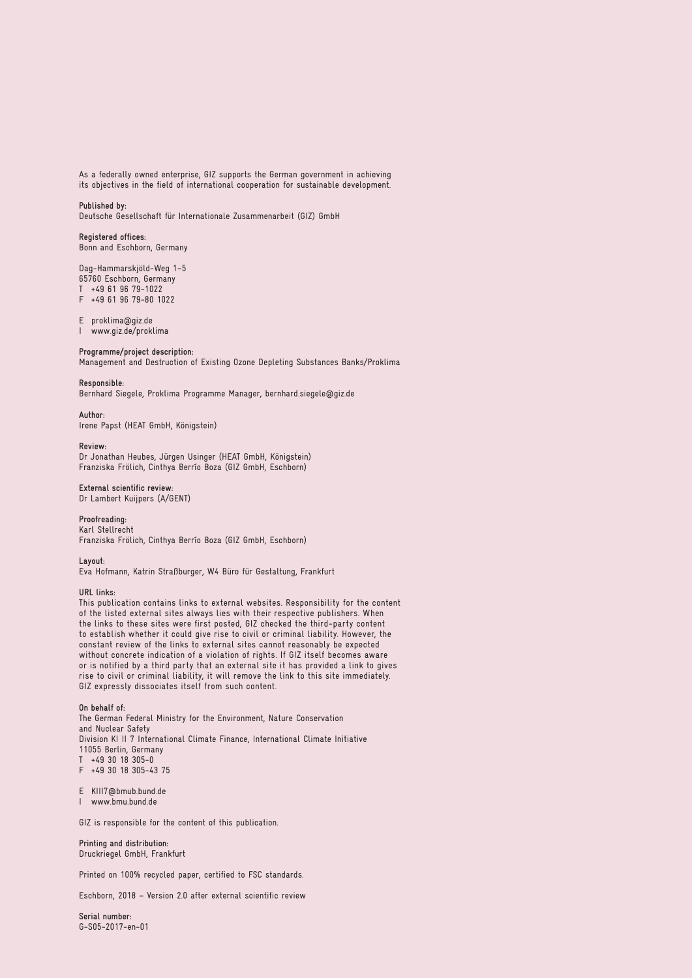As a federally owned enterprise, GIZ supports the German government in achieving its objectives in the field of international cooperation for sustainable development.

#### **Published by:**

Deutsche Gesellschaft für Internationale Zusammenarbeit (GIZ) GmbH

**Registered offices:** Bonn and Eschborn, Germany

Dag-Hammarskjöld-Weg 1–5 65760 Eschborn, Germany

T +49 61 96 79-1022

F +49 61 96 79-80 1022

E proklima@giz.de

I www.giz.de/proklima

#### **Programme/project description:**

Management and Destruction of Existing Ozone Depleting Substances Banks/Proklima

#### **Responsible:**

Bernhard Siegele, Proklima Programme Manager, bernhard.siegele@giz.de

**Author:**

Irene Papst (HEAT GmbH, Königstein)

#### **Review:**

Dr Jonathan Heubes, Jürgen Usinger (HEAT GmbH, Königstein) Franziska Frölich, Cinthya Berrío Boza (GIZ GmbH, Eschborn)

#### **External scientific review:** Dr Lambert Kuijpers (A/GENT)

**Proofreading:**

Karl Stellrecht Franziska Frölich, Cinthya Berrío Boza (GIZ GmbH, Eschborn)

**Layout:**

Eva Hofmann, Katrin Straßburger, W4 Büro für Gestaltung, Frankfurt

#### **URL links:**

This publication contains links to external websites. Responsibility for the content of the listed external sites always lies with their respective publishers. When the links to these sites were first posted, GIZ checked the third-party content to establish whether it could give rise to civil or criminal liability. However, the constant review of the links to external sites cannot reasonably be expected without concrete indication of a violation of rights. If GIZ itself becomes aware or is notified by a third party that an external site it has provided a link to gives rise to civil or criminal liability, it will remove the link to this site immediately. GIZ expressly dissociates itself from such content.

#### **On behalf of:**

The German Federal Ministry for the Environment, Nature Conservation and Nuclear Safety Division KI II 7 International Climate Finance, International Climate Initiative 11055 Berlin, Germany  $T + 493018305 - 0$ F +49 30 18 305-43 75

E [KIII7@bmub.bund.de](mailto:KIII7%40bmub.bund.de?subject=) I [www.bmu.bund.de](http://www.bmu.bund.de)

GIZ is responsible for the content of this publication.

#### **Printing and distribution:** Druckriegel GmbH, Frankfurt

Printed on 100% recycled paper, certified to FSC standards.

Eschborn, 2018 – Version 2.0 after external scientific review

**Serial number:** G-S05-2017-en-01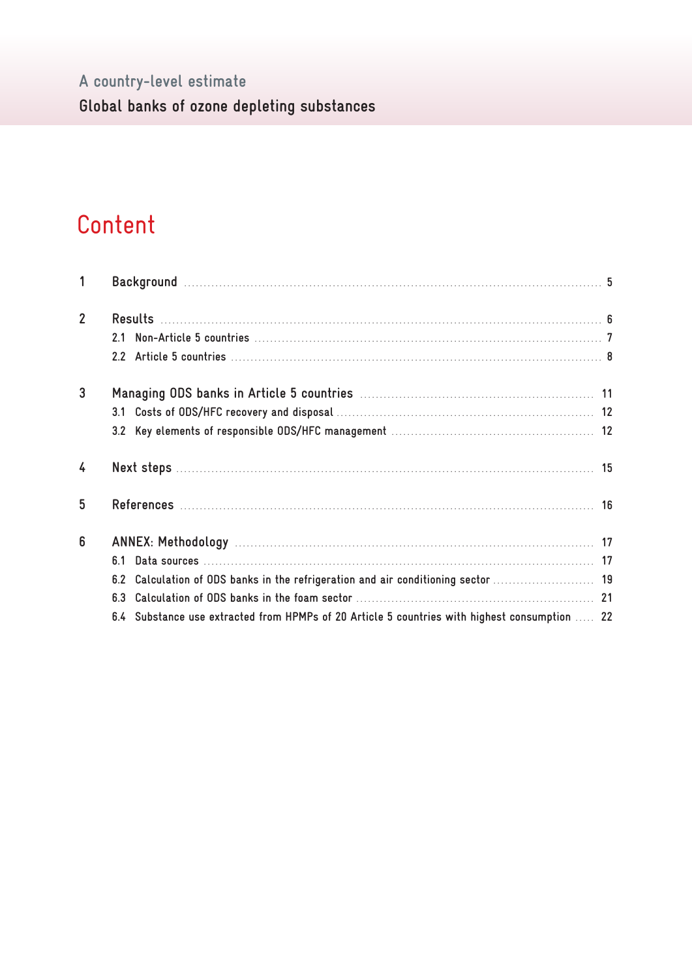# A country-level estimate

Global banks of ozone depleting substances

# Content

| 1              |                                                                                               |  |
|----------------|-----------------------------------------------------------------------------------------------|--|
| $\overline{2}$ |                                                                                               |  |
|                |                                                                                               |  |
|                |                                                                                               |  |
| 3              |                                                                                               |  |
|                |                                                                                               |  |
|                |                                                                                               |  |
| $\overline{4}$ |                                                                                               |  |
| 5              |                                                                                               |  |
| 6              |                                                                                               |  |
|                |                                                                                               |  |
|                | 6.2 Calculation of ODS banks in the refrigeration and air conditioning sector  19             |  |
|                |                                                                                               |  |
|                | 6.4 Substance use extracted from HPMPs of 20 Article 5 countries with highest consumption  22 |  |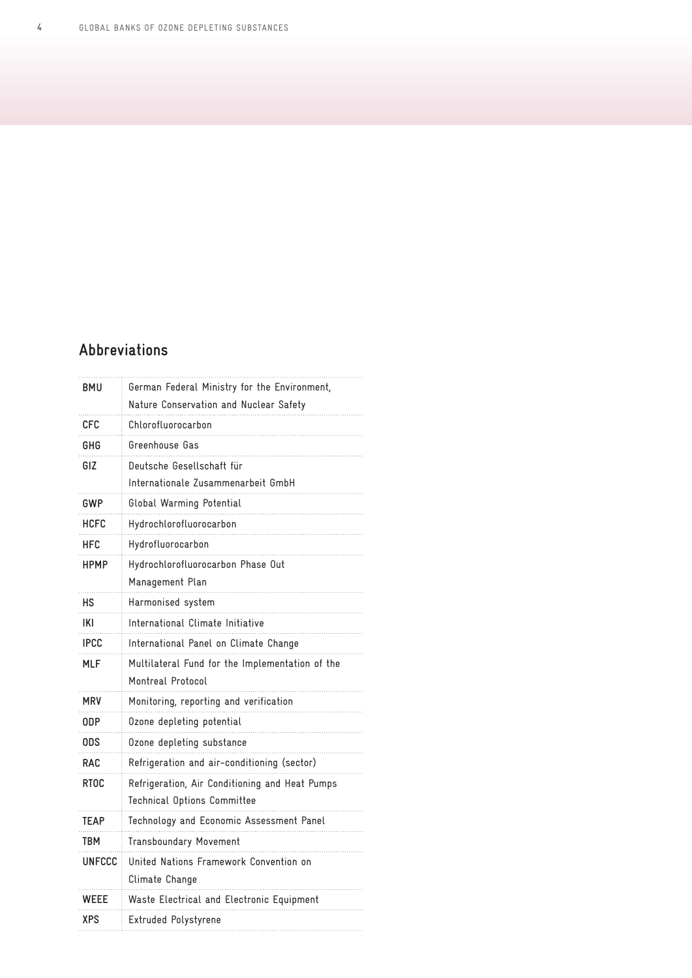# **Abbreviations**

| BMU           | German Federal Ministry for the Environment,    |
|---------------|-------------------------------------------------|
|               | Nature Conservation and Nuclear Safety          |
| CFC           | Chlorofluorocarbon                              |
| GHG           | Greenhouse Gas                                  |
| GIZ           | Deutsche Gesellschaft für                       |
|               | Internationale Zusammenarbeit GmbH              |
| GWP           | Global Warming Potential                        |
| HCFC          | Hydrochlorofluorocarbon                         |
| <b>HFC</b>    | Hydrofluorocarbon                               |
| <b>HPMP</b>   | Hydrochlorofluorocarbon Phase Out               |
|               | Management Plan                                 |
| нs            | Harmonised system                               |
| IKI           | International Climate Initiative                |
| <b>IPCC</b>   | International Panel on Climate Change           |
| <b>MLF</b>    | Multilateral Fund for the Implementation of the |
|               | Montreal Protocol                               |
| <b>MRV</b>    | Monitoring, reporting and verification          |
| 0DP           | Ozone depleting potential                       |
| 0DS           | Ozone depleting substance                       |
| <b>RAC</b>    | Refrigeration and air-conditioning (sector)     |
| <b>RTOC</b>   | Refrigeration, Air Conditioning and Heat Pumps  |
|               | Technical Options Committee                     |
| TEAP          | Technology and Economic Assessment Panel        |
| TBM           | Transboundary Movement                          |
| <b>UNFCCC</b> | United Nations Framework Convention on          |
|               | Climate Change                                  |
| WEEE          | Waste Electrical and Electronic Equipment       |
| XPS           | Extruded Polystyrene                            |
|               |                                                 |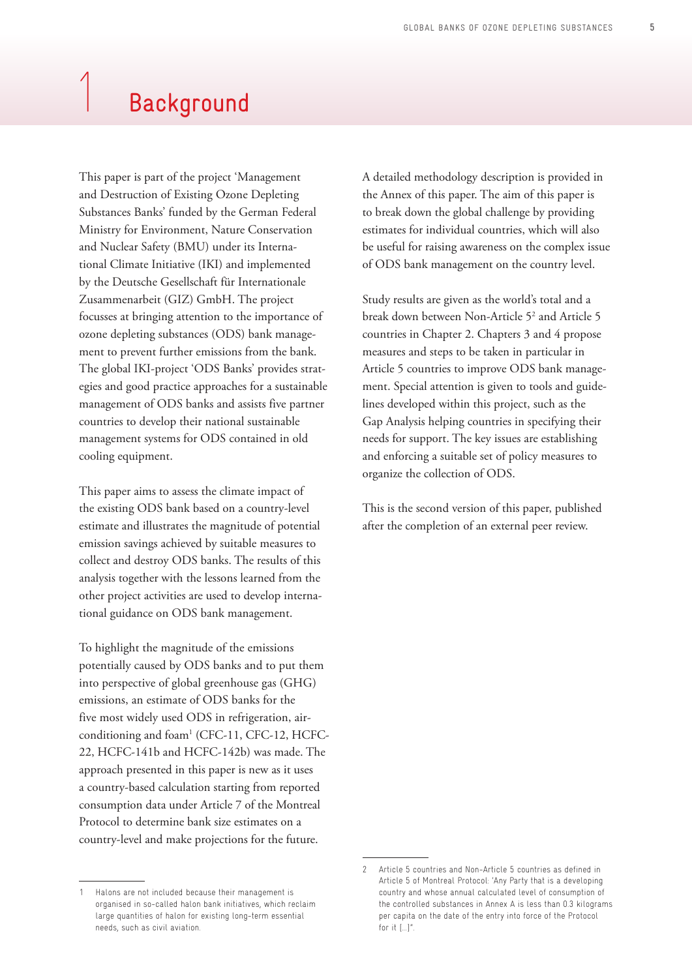# <span id="page-4-0"></span>**Background**

This paper is part of the project 'Management and Destruction of Existing Ozone Depleting Substances Banks' funded by the German Federal Ministry for Environment, Nature Conservation and Nuclear Safety (BMU) under its International Climate Initiative (IKI) and implemented by the Deutsche Gesellschaft für Internationale Zusammenarbeit (GIZ) GmbH. The project focusses at bringing attention to the importance of ozone depleting substances (ODS) bank management to prevent further emissions from the bank. The global IKI-project 'ODS Banks' provides strategies and good practice approaches for a sustainable management of ODS banks and assists five partner countries to develop their national sustainable management systems for ODS contained in old cooling equipment.

This paper aims to assess the climate impact of the existing ODS bank based on a country-level estimate and illustrates the magnitude of potential emission savings achieved by suitable measures to collect and destroy ODS banks. The results of this analysis together with the lessons learned from the other project activities are used to develop international guidance on ODS bank management.

To highlight the magnitude of the emissions potentially caused by ODS banks and to put them into perspective of global greenhouse gas (GHG) emissions, an estimate of ODS banks for the five most widely used ODS in refrigeration, airconditioning and foam<sup>1</sup> (CFC-11, CFC-12, HCFC-22, HCFC-141b and HCFC-142b) was made. The approach presented in this paper is new as it uses a country-based calculation starting from reported consumption data under Article 7 of the Montreal Protocol to determine bank size estimates on a country-level and make projections for the future.

A detailed methodology description is provided in the Annex of this paper. The aim of this paper is to break down the global challenge by providing estimates for individual countries, which will also be useful for raising awareness on the complex issue of ODS bank management on the country level.

Study results are given as the world's total and a break down between Non-Article 5<sup>2</sup> and Article 5 countries in Chapter 2. Chapters 3 and 4 propose measures and steps to be taken in particular in Article 5 countries to improve ODS bank management. Special attention is given to tools and guidelines developed within this project, such as the Gap Analysis helping countries in specifying their needs for support. The key issues are establishing and enforcing a suitable set of policy measures to organize the collection of ODS.

This is the second version of this paper, published after the completion of an external peer review.

<sup>1</sup> Halons are not included because their management is organised in so-called halon bank initiatives, which reclaim large quantities of halon for existing long-term essential needs, such as civil aviation.

<sup>2</sup> Article 5 countries and Non-Article 5 countries as defined in Article 5 of Montreal Protocol: 'Any Party that is a developing country and whose annual calculated level of consumption of the controlled substances in Annex A is less than 0.3 kilograms per capita on the date of the entry into force of the Protocol for it […]".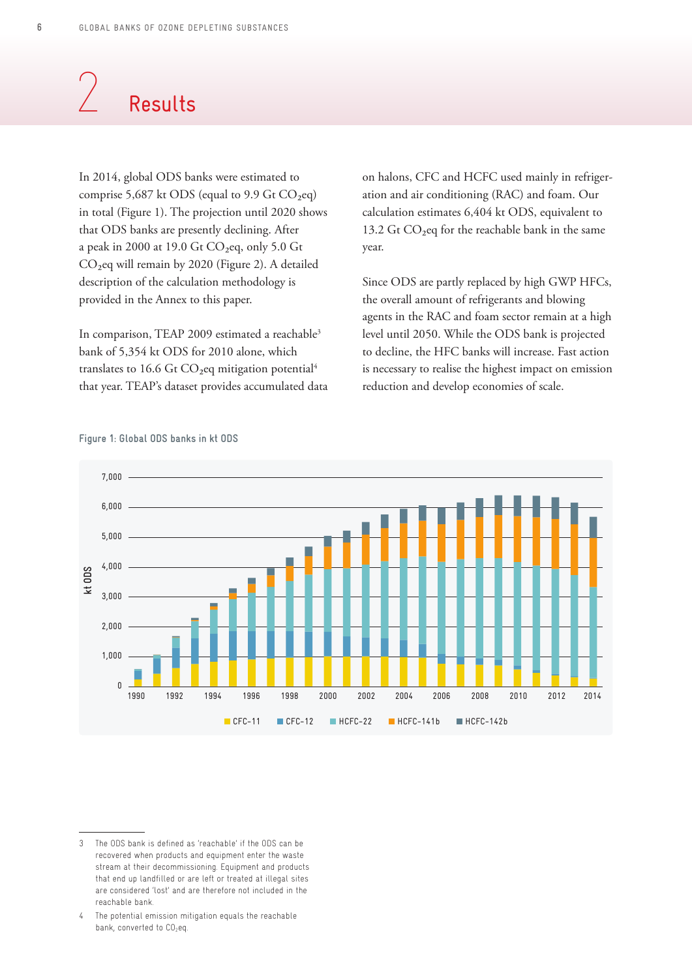# <span id="page-5-0"></span>**Results**

In 2014, global ODS banks were estimated to comprise 5,687 kt ODS (equal to 9.9 Gt  $CO<sub>2</sub>$ eq) in total (Figure 1). The projection until 2020 shows that ODS banks are presently declining. After a peak in 2000 at 19.0 Gt CO₂eq, only 5.0 Gt CO₂eq will remain by 2020 (Figure 2). A detailed description of the calculation methodology is provided in the Annex to this paper.

In comparison, TEAP 2009 estimated a reachable<sup>3</sup> bank of 5,354 kt ODS for 2010 alone, which translates to 16.6 Gt  $CO<sub>2</sub>$ eq mitigation potential<sup>4</sup> that year. TEAP's dataset provides accumulated data on halons, CFC and HCFC used mainly in refrigeration and air conditioning (RAC) and foam. Our calculation estimates 6,404 kt ODS, equivalent to 13.2 Gt  $CO<sub>2</sub>$ eq for the reachable bank in the same year.

Since ODS are partly replaced by high GWP HFCs, the overall amount of refrigerants and blowing agents in the RAC and foam sector remain at a high level until 2050. While the ODS bank is projected to decline, the HFC banks will increase. Fast action is necessary to realise the highest impact on emission reduction and develop economies of scale.



**Figure 1: Global ODS banks in kt ODS**

<sup>3</sup> The ODS bank is defined as 'reachable' if the ODS can be recovered when products and equipment enter the waste stream at their decommissioning. Equipment and products that end up landfilled or are left or treated at illegal sites are considered 'lost' and are therefore not included in the reachable bank.

<sup>4</sup> The potential emission mitigation equals the reachable bank, converted to  $CO<sub>2</sub>$ eq.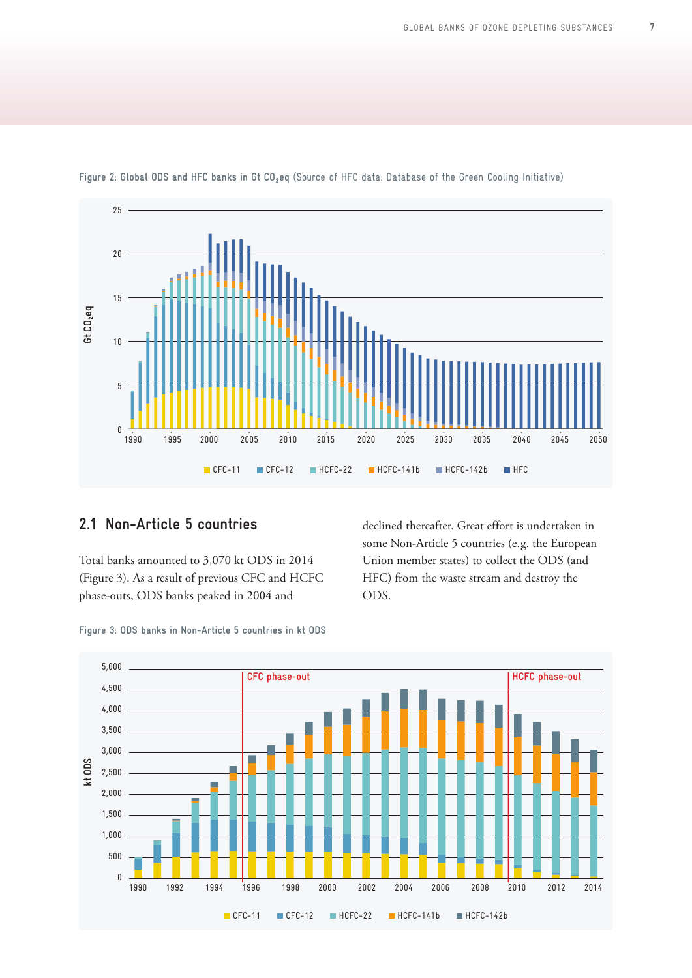

<span id="page-6-0"></span>**Figure 2: Global ODS and HFC banks in Gt CO² eq** (Source of HFC data: Database of the Green Cooling Initiative)

## **2.1 Non-Article 5 countries**

Total banks amounted to 3,070 kt ODS in 2014 (Figure 3). As a result of previous CFC and HCFC phase-outs, ODS banks peaked in 2004 and

declined thereafter. Great effort is undertaken in some Non-Article 5 countries (e.g. the European Union member states) to collect the ODS (and HFC) from the waste stream and destroy the ODS.



**Figure 3: ODS banks in Non-Article 5 countries in kt ODS**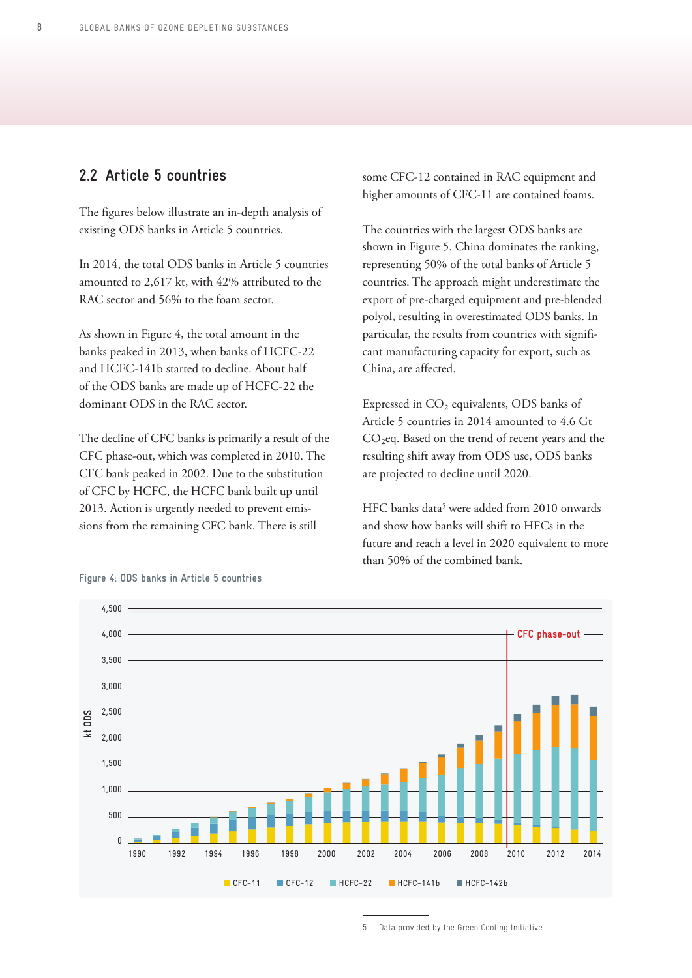# <span id="page-7-0"></span>**2.2 Article 5 countries**

The figures below illustrate an in-depth analysis of existing ODS banks in Article 5 countries.

In 2014, the total ODS banks in Article 5 countries amounted to 2,617 kt, with 42% attributed to the RAC sector and 56% to the foam sector.

As shown in Figure 4, the total amount in the banks peaked in 2013, when banks of HCFC-22 and HCFC-141b started to decline. About half of the ODS banks are made up of HCFC-22 the dominant ODS in the RAC sector.

The decline of CFC banks is primarily a result of the CFC phase-out, which was completed in 2010. The CFC bank peaked in 2002. Due to the substitution of CFC by HCFC, the HCFC bank built up until 2013. Action is urgently needed to prevent emissions from the remaining CFC bank. There is still

some CFC-12 contained in RAC equipment and higher amounts of CFC-11 are contained foams.

The countries with the largest ODS banks are shown in Figure 5. China dominates the ranking, representing 50% of the total banks of Article 5 countries. The approach might underestimate the export of pre-charged equipment and pre-blended polyol, resulting in overestimated ODS banks. In particular, the results from countries with significant manufacturing capacity for export, such as China, are affected.

Expressed in CO<sub>2</sub> equivalents, ODS banks of Article 5 countries in 2014 amounted to 4.6 Gt CO<sub>2</sub>eq. Based on the trend of recent years and the resulting shift away from ODS use, ODS banks are projected to decline until 2020.

HFC banks data<sup>5</sup> were added from 2010 onwards and show how banks will shift to HFCs in the future and reach a level in 2020 equivalent to more than 50% of the combined bank.



#### **Figure 4: ODS banks in Article 5 countries**

5 Data provided by the Green Cooling Initiative.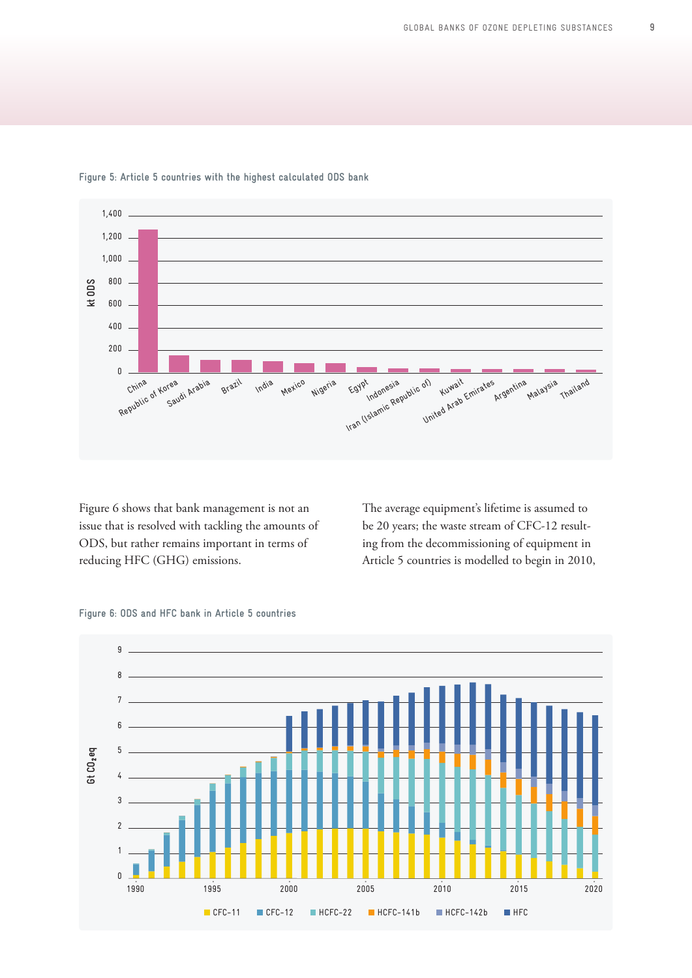

**Figure 5: Article 5 countries with the highest calculated ODS bank**

Figure 6 shows that bank management is not an issue that is resolved with tackling the amounts of ODS, but rather remains important in terms of reducing HFC (GHG) emissions.

The average equipment's lifetime is assumed to be 20 years; the waste stream of CFC-12 resulting from the decommissioning of equipment in Article 5 countries is modelled to begin in 2010,

#### **Figure 6: ODS and HFC bank in Article 5 countries**

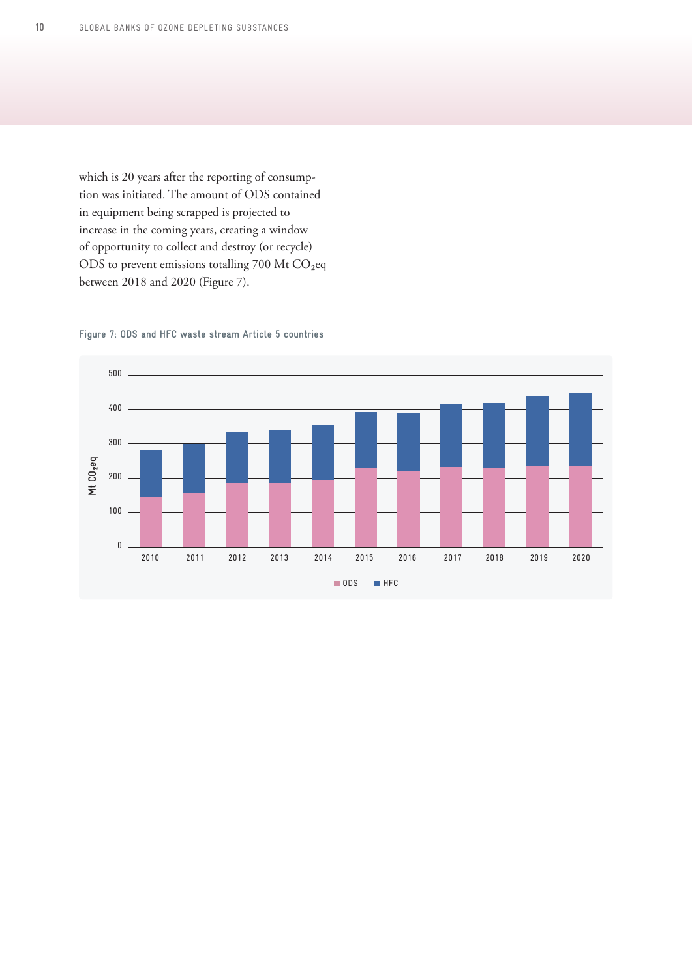which is 20 years after the reporting of consumption was initiated. The amount of ODS contained in equipment being scrapped is projected to increase in the coming years, creating a window of opportunity to collect and destroy (or recycle) ODS to prevent emissions totalling 700 Mt CO<sub>2</sub>eq between 2018 and 2020 (Figure 7).



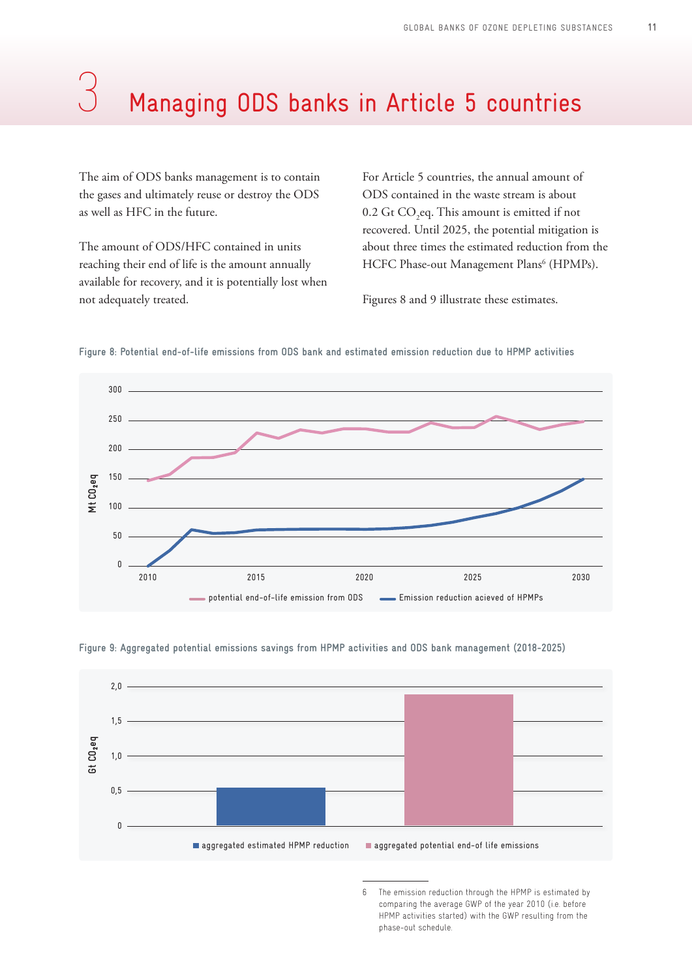# <span id="page-10-0"></span>Managing ODS banks in Article 5 countries

The aim of ODS banks management is to contain the gases and ultimately reuse or destroy the ODS as well as HFC in the future.

The amount of ODS/HFC contained in units reaching their end of life is the amount annually available for recovery, and it is potentially lost when not adequately treated.

For Article 5 countries, the annual amount of ODS contained in the waste stream is about  $0.2$  Gt CO<sub>2</sub>eq. This amount is emitted if not recovered. Until 2025, the potential mitigation is about three times the estimated reduction from the HCFC Phase-out Management Plans<sup>6</sup> (HPMPs).

Figures 8 and 9 illustrate these estimates.



**Figure 8: Potential end-of-life emissions from ODS bank and estimated emission reduction due to HPMP activities**

**Figure 9: Aggregated potential emissions savings from HPMP activities and ODS bank management (2018-2025)**



<sup>6</sup> The emission reduction through the HPMP is estimated by comparing the average GWP of the year 2010 (i.e. before HPMP activities started) with the GWP resulting from the phase-out schedule.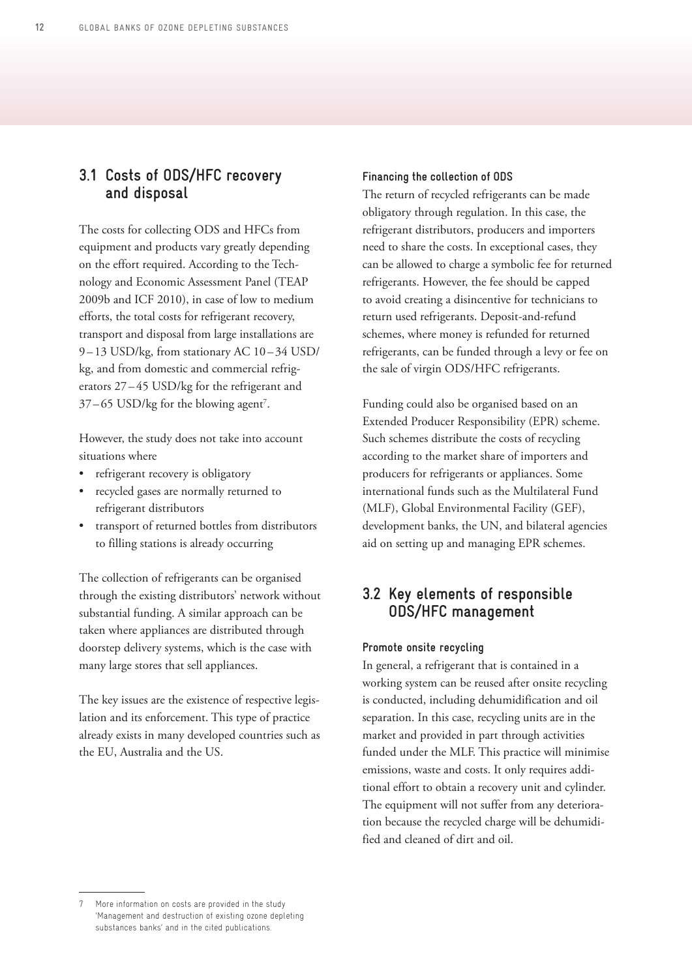### <span id="page-11-0"></span>**3.1 Costs of ODS/HFC recovery and disposal**

The costs for collecting ODS and HFCs from equipment and products vary greatly depending on the effort required. According to the Technology and Economic Assessment Panel (TEAP 2009b and ICF 2010), in case of low to medium efforts, the total costs for refrigerant recovery, transport and disposal from large installations are 9-13 USD/kg, from stationary AC 10-34 USD/ kg, and from domestic and commercial refrigerators 27 – 45 USD/kg for the refrigerant and  $37-65$  USD/kg for the blowing agent<sup>7</sup>.

However, the study does not take into account situations where

- refrigerant recovery is obligatory
- recycled gases are normally returned to refrigerant distributors
- transport of returned bottles from distributors to filling stations is already occurring

The collection of refrigerants can be organised through the existing distributors' network without substantial funding. A similar approach can be taken where appliances are distributed through doorstep delivery systems, which is the case with many large stores that sell appliances.

The key issues are the existence of respective legislation and its enforcement. This type of practice already exists in many developed countries such as the EU, Australia and the US.

#### **Financing the collection of ODS**

The return of recycled refrigerants can be made obligatory through regulation. In this case, the refrigerant distributors, producers and importers need to share the costs. In exceptional cases, they can be allowed to charge a symbolic fee for returned refrigerants. However, the fee should be capped to avoid creating a disincentive for technicians to return used refrigerants. Deposit-and-refund schemes, where money is refunded for returned refrigerants, can be funded through a levy or fee on the sale of virgin ODS/HFC refrigerants.

Funding could also be organised based on an Extended Producer Responsibility (EPR) scheme. Such schemes distribute the costs of recycling according to the market share of importers and producers for refrigerants or appliances. Some international funds such as the Multilateral Fund (MLF), Global Environmental Facility (GEF), development banks, the UN, and bilateral agencies aid on setting up and managing EPR schemes.

## **3.2 Key elements of responsible ODS/HFC management**

#### **Promote onsite recycling**

In general, a refrigerant that is contained in a working system can be reused after onsite recycling is conducted, including dehumidification and oil separation. In this case, recycling units are in the market and provided in part through activities funded under the MLF. This practice will minimise emissions, waste and costs. It only requires additional effort to obtain a recovery unit and cylinder. The equipment will not suffer from any deterioration because the recycled charge will be dehumidified and cleaned of dirt and oil.

<sup>7</sup> More information on costs are provided in the study 'Management and destruction of existing ozone depleting substances banks' and in the cited publications.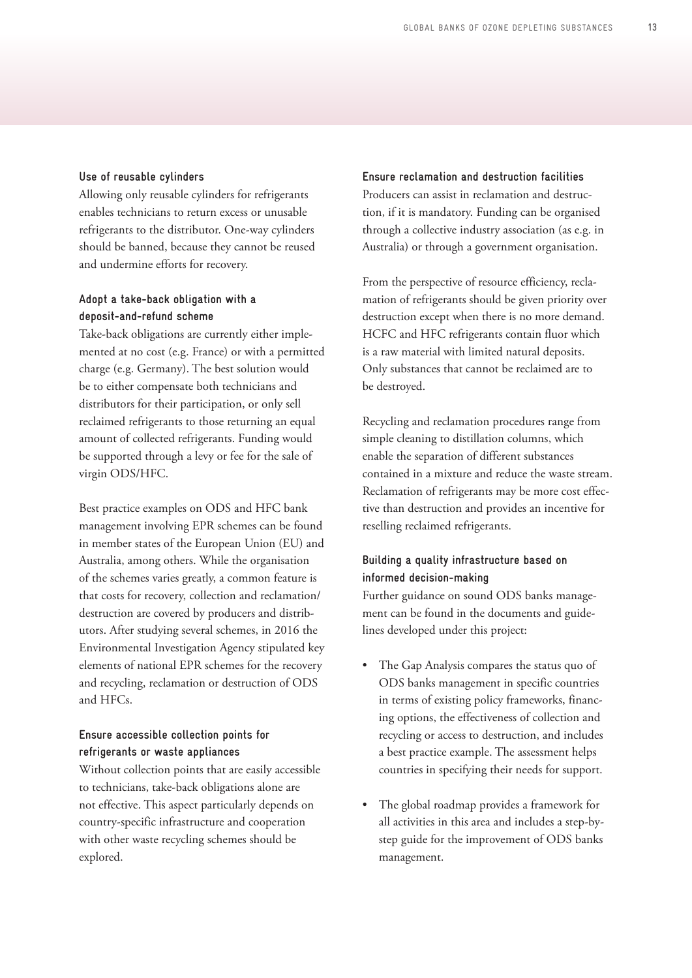#### **Use of reusable cylinders**

Allowing only reusable cylinders for refrigerants enables technicians to return excess or unusable refrigerants to the distributor. One-way cylinders should be banned, because they cannot be reused and undermine efforts for recovery.

### **Adopt a take-back obligation with a deposit-and-refund scheme**

Take-back obligations are currently either implemented at no cost (e.g. France) or with a permitted charge (e.g. Germany). The best solution would be to either compensate both technicians and distributors for their participation, or only sell reclaimed refrigerants to those returning an equal amount of collected refrigerants. Funding would be supported through a levy or fee for the sale of virgin ODS/HFC.

Best practice examples on ODS and HFC bank management involving EPR schemes can be found in member states of the European Union (EU) and Australia, among others. While the organisation of the schemes varies greatly, a common feature is that costs for recovery, collection and reclamation/ destruction are covered by producers and distributors. After studying several schemes, in 2016 the Environmental Investigation Agency stipulated key elements of national EPR schemes for the recovery and recycling, reclamation or destruction of ODS and HFCs.

### **Ensure accessible collection points for refrigerants or waste appliances**

Without collection points that are easily accessible to technicians, take-back obligations alone are not effective. This aspect particularly depends on country-specific infrastructure and cooperation with other waste recycling schemes should be explored.

**Ensure reclamation and destruction facilities**  Producers can assist in reclamation and destruction, if it is mandatory. Funding can be organised through a collective industry association (as e.g. in Australia) or through a government organisation.

From the perspective of resource efficiency, reclamation of refrigerants should be given priority over destruction except when there is no more demand. HCFC and HFC refrigerants contain fluor which is a raw material with limited natural deposits. Only substances that cannot be reclaimed are to be destroyed.

Recycling and reclamation procedures range from simple cleaning to distillation columns, which enable the separation of different substances contained in a mixture and reduce the waste stream. Reclamation of refrigerants may be more cost effective than destruction and provides an incentive for reselling reclaimed refrigerants.

### **Building a quality infrastructure based on informed decision-making**

Further guidance on sound ODS banks management can be found in the documents and guidelines developed under this project:

- The Gap Analysis compares the status quo of ODS banks management in specific countries in terms of existing policy frameworks, financing options, the effectiveness of collection and recycling or access to destruction, and includes a best practice example. The assessment helps countries in specifying their needs for support.
- The global roadmap provides a framework for all activities in this area and includes a step-bystep guide for the improvement of ODS banks management.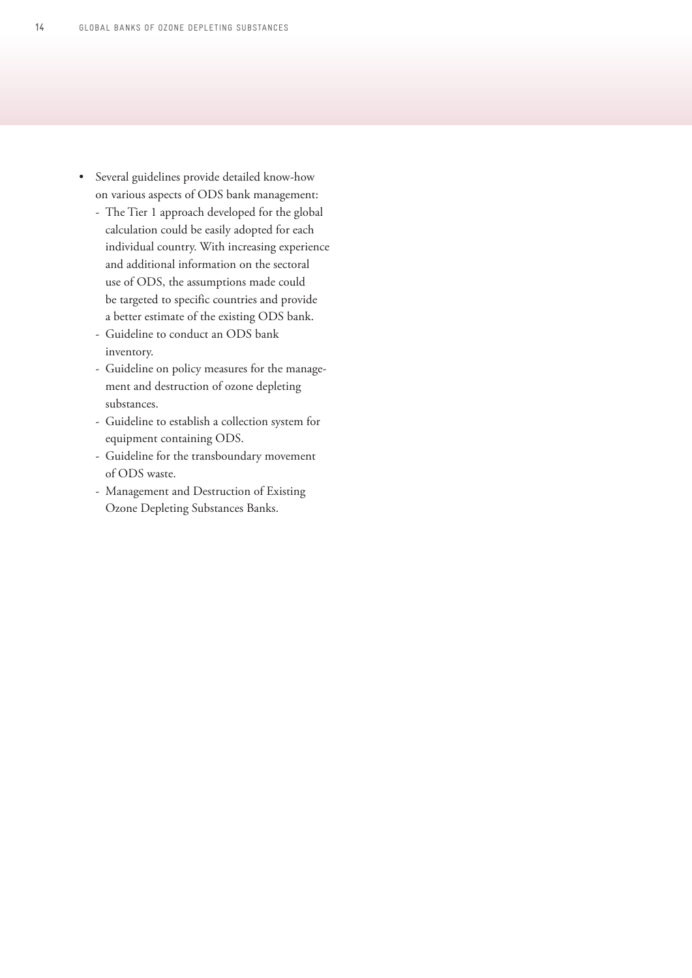- Several guidelines provide detailed know-how on various aspects of ODS bank management:
	- The Tier 1 approach developed for the global calculation could be easily adopted for each individual country. With increasing experience and additional information on the sectoral use of ODS, the assumptions made could be targeted to specific countries and provide a better estimate of the existing ODS bank.
	- Guideline to conduct an ODS bank inventory.
	- Guideline on policy measures for the management and destruction of ozone depleting substances.
	- Guideline to establish a collection system for equipment containing ODS.
	- Guideline for the transboundary movement of ODS waste.
	- Management and Destruction of Existing Ozone Depleting Substances Banks.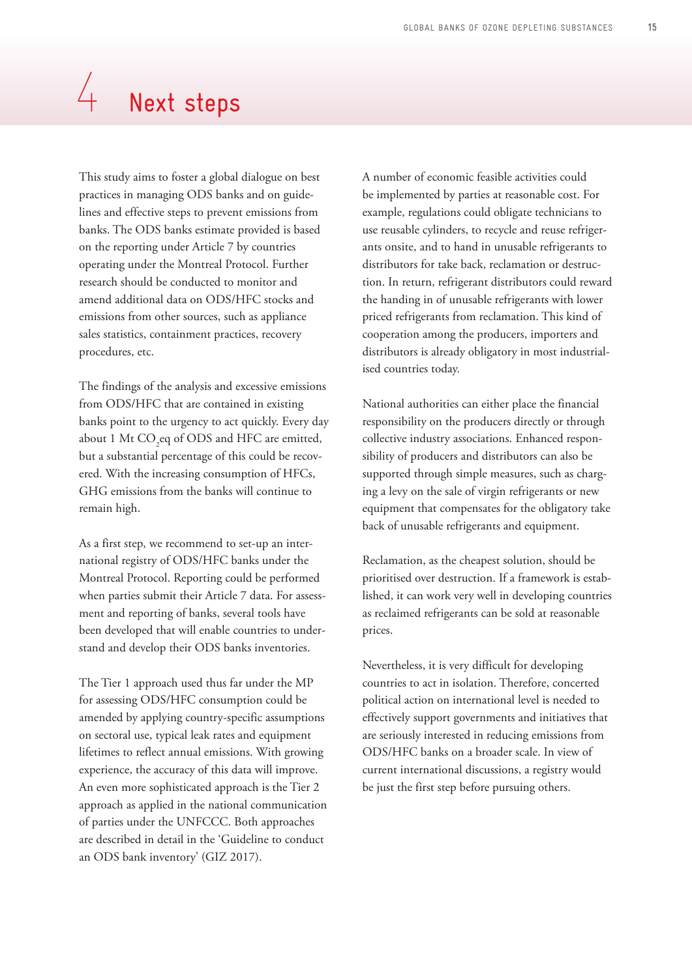# <span id="page-14-0"></span> $4$  Next steps

This study aims to foster a global dialogue on best practices in managing ODS banks and on guidelines and effective steps to prevent emissions from banks. The ODS banks estimate provided is based on the reporting under Article 7 by countries operating under the Montreal Protocol. Further research should be conducted to monitor and amend additional data on ODS/HFC stocks and emissions from other sources, such as appliance sales statistics, containment practices, recovery procedures, etc.

The findings of the analysis and excessive emissions from ODS/HFC that are contained in existing banks point to the urgency to act quickly. Every day about 1 Mt  $\rm CO_{2}$ eq of ODS and HFC are emitted, but a substantial percentage of this could be recovered. With the increasing consumption of HFCs, GHG emissions from the banks will continue to remain high.

As a first step, we recommend to set-up an international registry of ODS/HFC banks under the Montreal Protocol. Reporting could be performed when parties submit their Article 7 data. For assessment and reporting of banks, several tools have been developed that will enable countries to understand and develop their ODS banks inventories.

The Tier 1 approach used thus far under the MP for assessing ODS/HFC consumption could be amended by applying country-specific assumptions on sectoral use, typical leak rates and equipment lifetimes to reflect annual emissions. With growing experience, the accuracy of this data will improve. An even more sophisticated approach is the Tier 2 approach as applied in the national communication of parties under the UNFCCC. Both approaches are described in detail in the 'Guideline to conduct an ODS bank inventory' (GIZ 2017).

A number of economic feasible activities could be implemented by parties at reasonable cost. For example, regulations could obligate technicians to use reusable cylinders, to recycle and reuse refrigerants onsite, and to hand in unusable refrigerants to distributors for take back, reclamation or destruction. In return, refrigerant distributors could reward the handing in of unusable refrigerants with lower priced refrigerants from reclamation. This kind of cooperation among the producers, importers and distributors is already obligatory in most industrialised countries today.

National authorities can either place the financial responsibility on the producers directly or through collective industry associations. Enhanced responsibility of producers and distributors can also be supported through simple measures, such as charging a levy on the sale of virgin refrigerants or new equipment that compensates for the obligatory take back of unusable refrigerants and equipment.

Reclamation, as the cheapest solution, should be prioritised over destruction. If a framework is established, it can work very well in developing countries as reclaimed refrigerants can be sold at reasonable prices.

Nevertheless, it is very difficult for developing countries to act in isolation. Therefore, concerted political action on international level is needed to effectively support governments and initiatives that are seriously interested in reducing emissions from ODS/HFC banks on a broader scale. In view of current international discussions, a registry would be just the first step before pursuing others.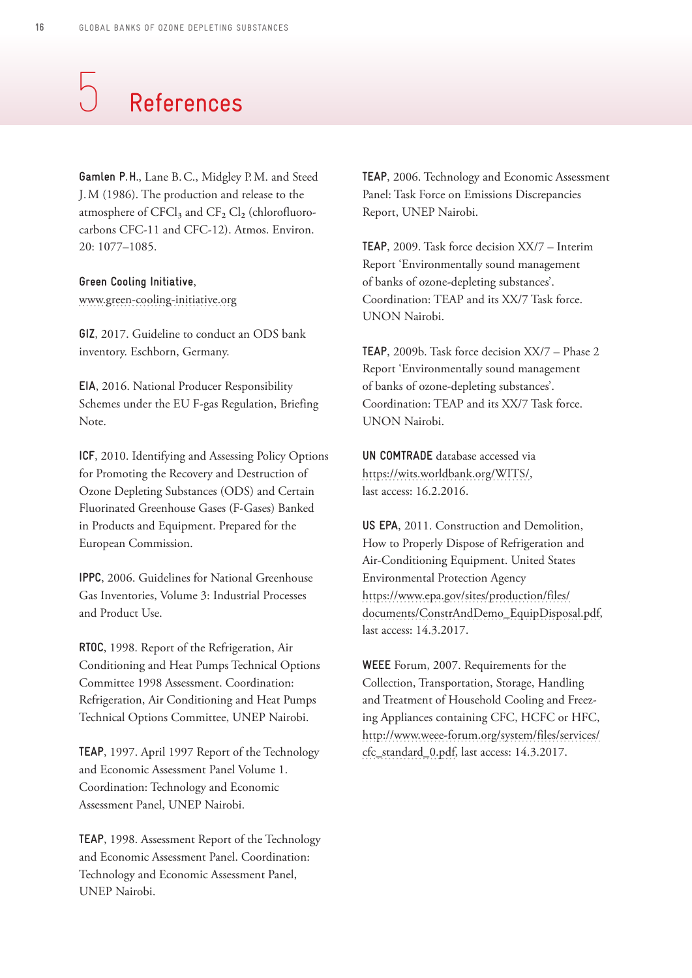# <span id="page-15-0"></span>References 5

**Gamlen P. H.**, Lane B.C., Midgley P.M. and Steed J.M (1986). The production and release to the atmosphere of CFCl<sub>3</sub> and  $CF_2$  Cl<sub>2</sub> (chlorofluorocarbons CFC-11 and CFC-12). Atmos. Environ. 20: 1077–1085.

**Green Cooling Initiative**, [www.green-cooling-initiative.org](http://www.green-cooling-initiative.org)

**GIZ**, 2017. Guideline to conduct an ODS bank inventory. Eschborn, Germany.

**EIA**, 2016. National Producer Responsibility Schemes under the EU F-gas Regulation, Briefing Note.

**ICF**, 2010. Identifying and Assessing Policy Options for Promoting the Recovery and Destruction of Ozone Depleting Substances (ODS) and Certain Fluorinated Greenhouse Gases (F-Gases) Banked in Products and Equipment. Prepared for the European Commission.

**IPPC**, 2006. Guidelines for National Greenhouse Gas Inventories, Volume 3: Industrial Processes and Product Use.

**RTOC**, 1998. Report of the Refrigeration, Air Conditioning and Heat Pumps Technical Options Committee 1998 Assessment. Coordination: Refrigeration, Air Conditioning and Heat Pumps Technical Options Committee, UNEP Nairobi.

**TEAP**, 1997. April 1997 Report of the Technology and Economic Assessment Panel Volume 1. Coordination: Technology and Economic Assessment Panel, UNEP Nairobi.

**TEAP**, 1998. Assessment Report of the Technology and Economic Assessment Panel. Coordination: Technology and Economic Assessment Panel, UNEP Nairobi.

**TEAP**, 2006. Technology and Economic Assessment Panel: Task Force on Emissions Discrepancies Report, UNEP Nairobi.

**TEAP**, 2009. Task force decision XX/7 – Interim Report 'Environmentally sound management of banks of ozone-depleting substances'. Coordination: TEAP and its XX/7 Task force. UNON Nairobi.

**TEAP**, 2009b. Task force decision XX/7 – Phase 2 Report 'Environmentally sound management of banks of ozone-depleting substances'. Coordination: TEAP and its XX/7 Task force. UNON Nairobi.

**UN COMTRADE** database accessed via [https://wits.worldbank.org/WITS/,](https://wits.worldbank.org/WITS/) last access: 16.2.2016.

**US EPA**, 2011. Construction and Demolition, How to Properly Dispose of Refrigeration and Air-Conditioning Equipment. United States Environmental Protection Agency [https://www.epa.gov/sites/production/files/](https://www.epa.gov/sites/production/files/documents/ConstrAndDemo_EquipDisposal.pdf) [documents/ConstrAndDemo\\_EquipDisposal.pdf](https://www.epa.gov/sites/production/files/documents/ConstrAndDemo_EquipDisposal.pdf), last access: 14.3.2017.

**WEEE** Forum, 2007. Requirements for the Collection, Transportation, Storage, Handling and Treatment of Household Cooling and Freezing Appliances containing CFC, HCFC or HFC, [http://www.weee-forum.org/system/files/services/](http://www.weee-forum.org/system/files/services/cfc_standard_0.pdf) [cfc\\_standard\\_0.pdf](http://www.weee-forum.org/system/files/services/cfc_standard_0.pdf), last access: 14.3.2017.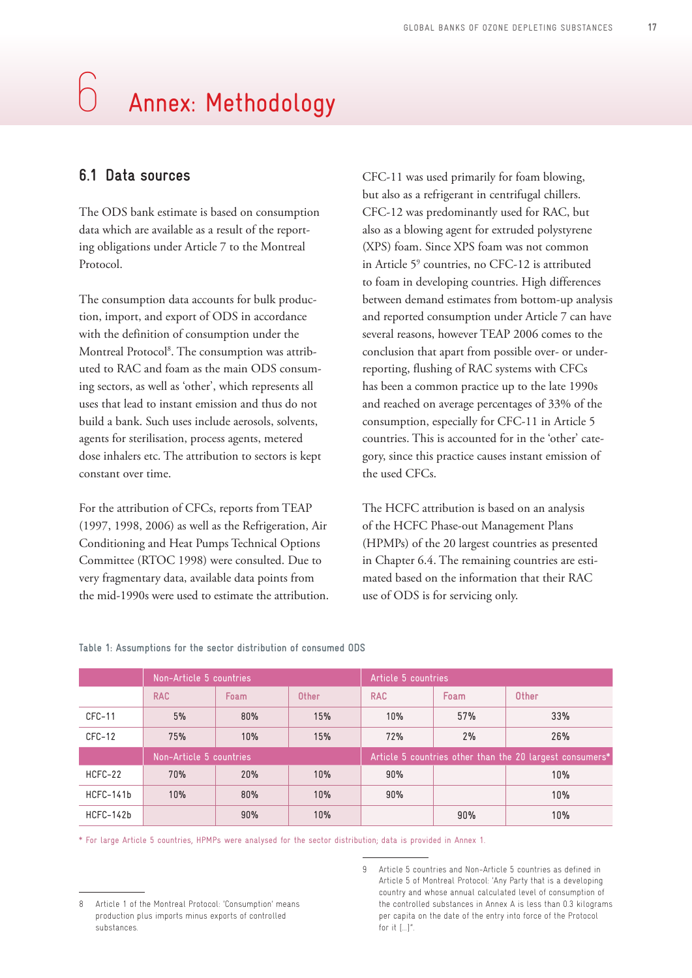# <span id="page-16-0"></span>6 Annex: Methodology

## **6.1 Data sources**

The ODS bank estimate is based on consumption data which are available as a result of the reporting obligations under Article 7 to the Montreal Protocol.

The consumption data accounts for bulk production, import, and export of ODS in accordance with the definition of consumption under the Montreal Protocol8 . The consumption was attributed to RAC and foam as the main ODS consuming sectors, as well as 'other', which represents all uses that lead to instant emission and thus do not build a bank. Such uses include aerosols, solvents, agents for sterilisation, process agents, metered dose inhalers etc. The attribution to sectors is kept constant over time.

For the attribution of CFCs, reports from TEAP (1997, 1998, 2006) as well as the Refrigeration, Air Conditioning and Heat Pumps Technical Options Committee (RTOC 1998) were consulted. Due to very fragmentary data, available data points from the mid-1990s were used to estimate the attribution. CFC-11 was used primarily for foam blowing, but also as a refrigerant in centrifugal chillers. CFC-12 was predominantly used for RAC, but also as a blowing agent for extruded polystyrene (XPS) foam. Since XPS foam was not common in Article 5<sup>9</sup> countries, no CFC-12 is attributed to foam in developing countries. High differences between demand estimates from bottom-up analysis and reported consumption under Article 7 can have several reasons, however TEAP 2006 comes to the conclusion that apart from possible over- or underreporting, flushing of RAC systems with CFCs has been a common practice up to the late 1990s and reached on average percentages of 33% of the consumption, especially for CFC-11 in Article 5 countries. This is accounted for in the 'other' category, since this practice causes instant emission of the used CFCs.

The HCFC attribution is based on an analysis of the HCFC Phase-out Management Plans (HPMPs) of the 20 largest countries as presented in Chapter 6.4. The remaining countries are estimated based on the information that their RAC use of ODS is for servicing only.

|           | Non-Article 5 countries |      |       | Article 5 countries                                      |      |       |
|-----------|-------------------------|------|-------|----------------------------------------------------------|------|-------|
|           | <b>RAC</b>              | Foam | Other | <b>RAC</b>                                               | Foam | Other |
| $CFC-11$  | 5%                      | 80%  | 15%   | 10%                                                      | 57%  | 33%   |
| CFC-12    | 75%                     | 10%  | 15%   | 72%                                                      | 2%   | 26%   |
|           | Non-Article 5 countries |      |       | Article 5 countries other than the 20 largest consumers* |      |       |
| HCFC-22   | 70%                     | 20%  | 10%   | 90%                                                      |      | 10%   |
| HCFC-141b | 10%                     | 80%  | 10%   | 90%                                                      |      | 10%   |
| HCFC-142b |                         | 90%  | 10%   |                                                          | 90%  | 10%   |

#### **Table 1: Assumptions for the sector distribution of consumed ODS**

\* For large Article 5 countries, HPMPs were analysed for the sector distribution; data is provided in Annex 1.

<sup>8</sup> Article 1 of the Montreal Protocol: 'Consumption' means production plus imports minus exports of controlled substances.

<sup>9</sup> Article 5 countries and Non-Article 5 countries as defined in Article 5 of Montreal Protocol: 'Any Party that is a developing country and whose annual calculated level of consumption of the controlled substances in Annex A is less than 0.3 kilograms per capita on the date of the entry into force of the Protocol for it […]".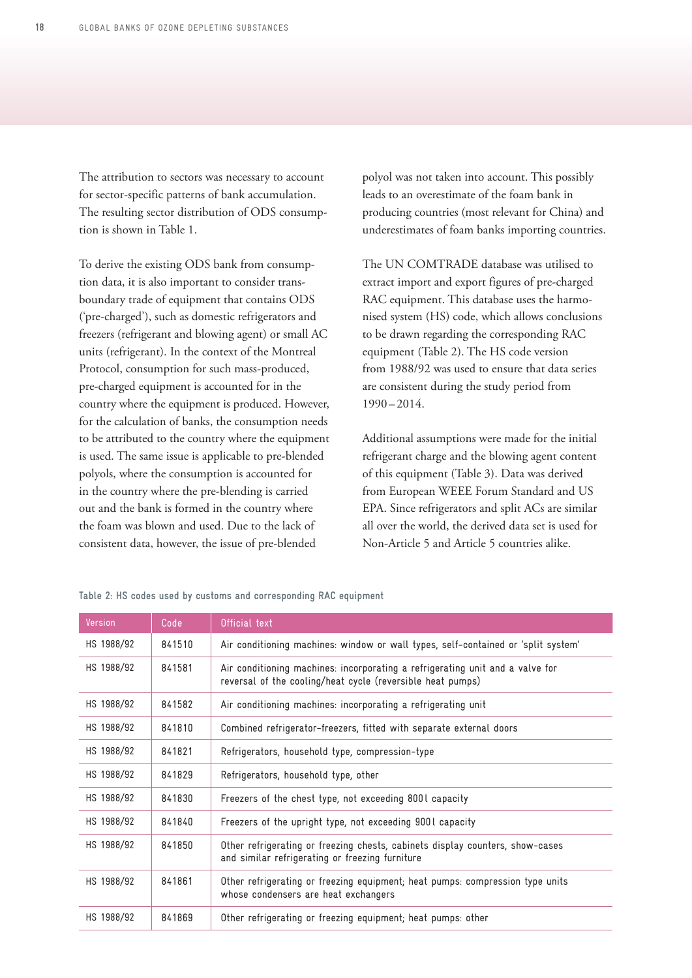The attribution to sectors was necessary to account for sector-specific patterns of bank accumulation. The resulting sector distribution of ODS consumption is shown in Table 1.

To derive the existing ODS bank from consumption data, it is also important to consider transboundary trade of equipment that contains ODS ('pre-charged'), such as domestic refrigerators and freezers (refrigerant and blowing agent) or small AC units (refrigerant). In the context of the Montreal Protocol, consumption for such mass-produced, pre-charged equipment is accounted for in the country where the equipment is produced. However, for the calculation of banks, the consumption needs to be attributed to the country where the equipment is used. The same issue is applicable to pre-blended polyols, where the consumption is accounted for in the country where the pre-blending is carried out and the bank is formed in the country where the foam was blown and used. Due to the lack of consistent data, however, the issue of pre-blended

polyol was not taken into account. This possibly leads to an overestimate of the foam bank in producing countries (most relevant for China) and underestimates of foam banks importing countries.

The UN COMTRADE database was utilised to extract import and export figures of pre-charged RAC equipment. This database uses the harmonised system (HS) code, which allows conclusions to be drawn regarding the corresponding RAC equipment (Table 2). The HS code version from 1988/92 was used to ensure that data series are consistent during the study period from  $1990 - 2014.$ 

Additional assumptions were made for the initial refrigerant charge and the blowing agent content of this equipment (Table 3). Data was derived from European WEEE Forum Standard and US EPA. Since refrigerators and split ACs are similar all over the world, the derived data set is used for Non-Article 5 and Article 5 countries alike.

| Version    | Code   | Official text                                                                                                                               |
|------------|--------|---------------------------------------------------------------------------------------------------------------------------------------------|
| HS 1988/92 | 841510 | Air conditioning machines: window or wall types, self-contained or 'split system'                                                           |
| HS 1988/92 | 841581 | Air conditioning machines: incorporating a refrigerating unit and a valve for<br>reversal of the cooling/heat cycle (reversible heat pumps) |
| HS 1988/92 | 841582 | Air conditioning machines: incorporating a refrigerating unit                                                                               |
| HS 1988/92 | 841810 | Combined refrigerator-freezers, fitted with separate external doors                                                                         |
| HS 1988/92 | 841821 | Refrigerators, household type, compression-type                                                                                             |
| HS 1988/92 | 841829 | Refrigerators, household type, other                                                                                                        |
| HS 1988/92 | 841830 | Freezers of the chest type, not exceeding 8001 capacity                                                                                     |
| HS 1988/92 | 841840 | Freezers of the upright type, not exceeding 9001 capacity                                                                                   |
| HS 1988/92 | 841850 | Other refrigerating or freezing chests, cabinets display counters, show-cases<br>and similar refrigerating or freezing furniture            |
| HS 1988/92 | 841861 | Other refrigerating or freezing equipment; heat pumps: compression type units<br>whose condensers are heat exchangers                       |
| HS 1988/92 | 841869 | Other refrigerating or freezing equipment; heat pumps: other                                                                                |

**Table 2: HS codes used by customs and corresponding RAC equipment**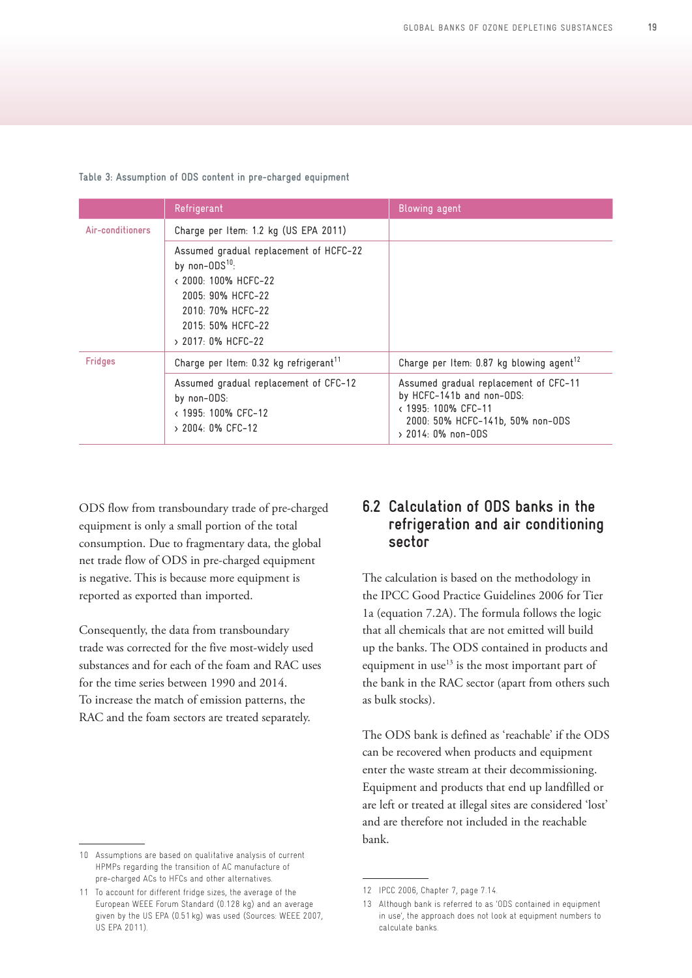<span id="page-18-0"></span>

|  |  |  |  |  |  |  | Table 3: Assumption of ODS content in pre-charged equipment |  |  |
|--|--|--|--|--|--|--|-------------------------------------------------------------|--|--|
|--|--|--|--|--|--|--|-------------------------------------------------------------|--|--|

|                  | Refrigerant                                                                                                                                                                    | <b>Blowing agent</b>                                                                                                                                   |
|------------------|--------------------------------------------------------------------------------------------------------------------------------------------------------------------------------|--------------------------------------------------------------------------------------------------------------------------------------------------------|
| Air-conditioners | Charge per Item: 1.2 kg (US EPA 2011)                                                                                                                                          |                                                                                                                                                        |
|                  | Assumed gradual replacement of HCFC-22<br>by non- $0DS^{10}$ .<br>< 2000: 100% HCFC-22<br>2005: 90% HCFC-22<br>2010: 70% HCFC-22<br>2015: 50% HCFC-22<br>$> 2017$ : 0% HCFC-22 |                                                                                                                                                        |
| <b>Fridges</b>   | Charge per Item: 0.32 kg refrigerant <sup>11</sup>                                                                                                                             | Charge per Item: 0.87 kg blowing agent <sup>12</sup>                                                                                                   |
|                  | Assumed gradual replacement of CFC-12<br>by non-ODS:<br>< 1995: 100% CFC-12<br>$> 2004$ : 0% CFC-12                                                                            | Assumed gradual replacement of CFC-11<br>by HCFC-141b and non-ODS:<br>< 1995: 100% CFC-11<br>2000: 50% HCFC-141b, 50% non-ODS<br>$> 2014$ : 0% non-0DS |

ODS flow from transboundary trade of pre-charged equipment is only a small portion of the total consumption. Due to fragmentary data, the global net trade flow of ODS in pre-charged equipment is negative. This is because more equipment is reported as exported than imported.

Consequently, the data from transboundary trade was corrected for the five most-widely used substances and for each of the foam and RAC uses for the time series between 1990 and 2014. To increase the match of emission patterns, the RAC and the foam sectors are treated separately.

## **6.2 Calculation of ODS banks in the refrigeration and air conditioning sector**

The calculation is based on the methodology in the IPCC Good Practice Guidelines 2006 for Tier 1a (equation 7.2A). The formula follows the logic that all chemicals that are not emitted will build up the banks. The ODS contained in products and equipment in use $^{13}$  is the most important part of the bank in the RAC sector (apart from others such as bulk stocks).

The ODS bank is defined as 'reachable' if the ODS can be recovered when products and equipment enter the waste stream at their decommissioning. Equipment and products that end up landfilled or are left or treated at illegal sites are considered 'lost' and are therefore not included in the reachable bank.

<sup>10</sup> Assumptions are based on qualitative analysis of current HPMPs regarding the transition of AC manufacture of pre-charged ACs to HFCs and other alternatives.

<sup>11</sup> To account for different fridge sizes, the average of the European WEEE Forum Standard (0.128 kg) and an average given by the US EPA (0.51kg) was used (Sources: WEEE 2007, US EPA 2011).

<sup>12</sup> IPCC 2006, Chapter 7, page 7.14.

<sup>13</sup> Although bank is referred to as 'ODS contained in equipment in use', the approach does not look at equipment numbers to calculate banks.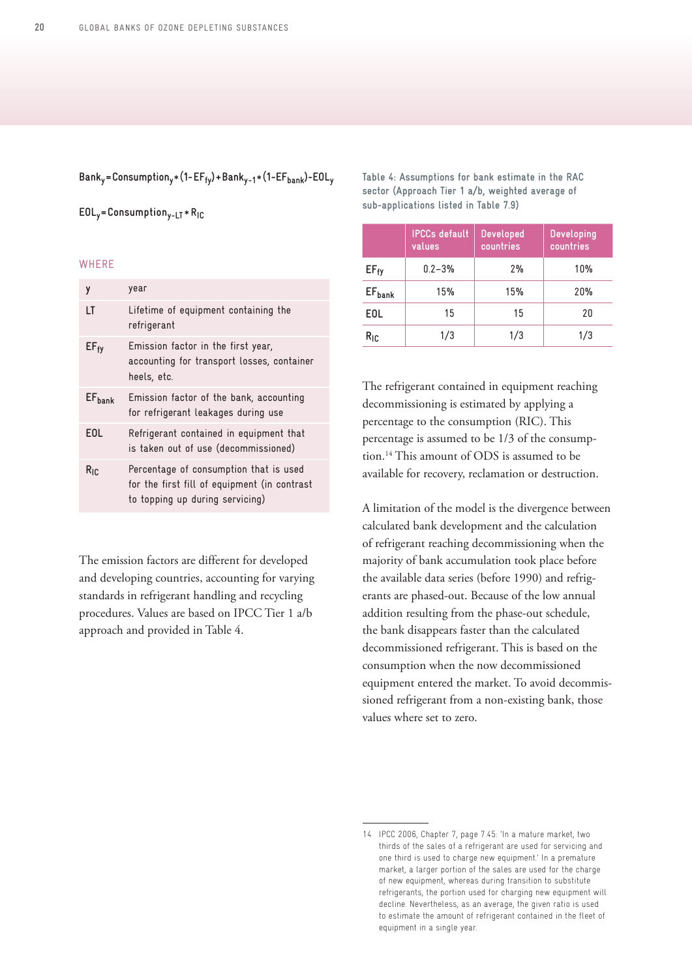**Banky=Consumptiony**\*(**1-EFfy)+Banky-1**\*(**1-EFbank)-EOLy**

**EOLy=Consumptiony-LT** \* **RIC**

#### **WHERE**

| y                  | year                                                                                                                      |
|--------------------|---------------------------------------------------------------------------------------------------------------------------|
| LT                 | Lifetime of equipment containing the<br>refrigerant                                                                       |
| $EF_{fY}$          | Emission factor in the first year,<br>accounting for transport losses, container<br>heels, etc.                           |
| EF <sub>hank</sub> | Emission factor of the bank, accounting<br>for refrigerant leakages during use                                            |
| <b>EOL</b>         | Refrigerant contained in equipment that<br>is taken out of use (decommissioned)                                           |
| $R_{IR}$           | Percentage of consumption that is used<br>for the first fill of equipment (in contrast<br>to topping up during servicing) |

The emission factors are different for developed and developing countries, accounting for varying standards in refrigerant handling and recycling procedures. Values are based on IPCC Tier 1 a/b approach and provided in Table 4.

**Table 4: Assumptions for bank estimate in the RAC sector (Approach Tier 1 a/b, weighted average of sub-applications listed in Table 7.9)**

|                  | <b>IPCCs</b> default<br>values | <b>Developed</b><br>countries | <b>Developing</b><br>countries |
|------------------|--------------------------------|-------------------------------|--------------------------------|
| $EF_{fY}$        | $0.2 - 3%$                     | 2%                            | 10%                            |
| $EF_{bank}$      | 15%                            | 15%                           | 20%                            |
| E <sub>0</sub> L | 15                             | 15                            | 20                             |
| $R_{IC}$         | 1/3                            | 1/3                           | 1/3                            |

The refrigerant contained in equipment reaching decommissioning is estimated by applying a percentage to the consumption (RIC). This percentage is assumed to be 1/3 of the consumption.14 This amount of ODS is assumed to be available for recovery, reclamation or destruction.

A limitation of the model is the divergence between calculated bank development and the calculation of refrigerant reaching decommissioning when the majority of bank accumulation took place before the available data series (before 1990) and refrigerants are phased-out. Because of the low annual addition resulting from the phase-out schedule, the bank disappears faster than the calculated decommissioned refrigerant. This is based on the consumption when the now decommissioned equipment entered the market. To avoid decommissioned refrigerant from a non-existing bank, those values where set to zero.

<sup>14</sup> IPCC 2006, Chapter 7, page 7.45: 'In a mature market, two thirds of the sales of a refrigerant are used for servicing and one third is used to charge new equipment.' In a premature market, a larger portion of the sales are used for the charge of new equipment, whereas during transition to substitute refrigerants, the portion used for charging new equipment will decline. Nevertheless, as an average, the given ratio is used to estimate the amount of refrigerant contained in the fleet of equipment in a single year.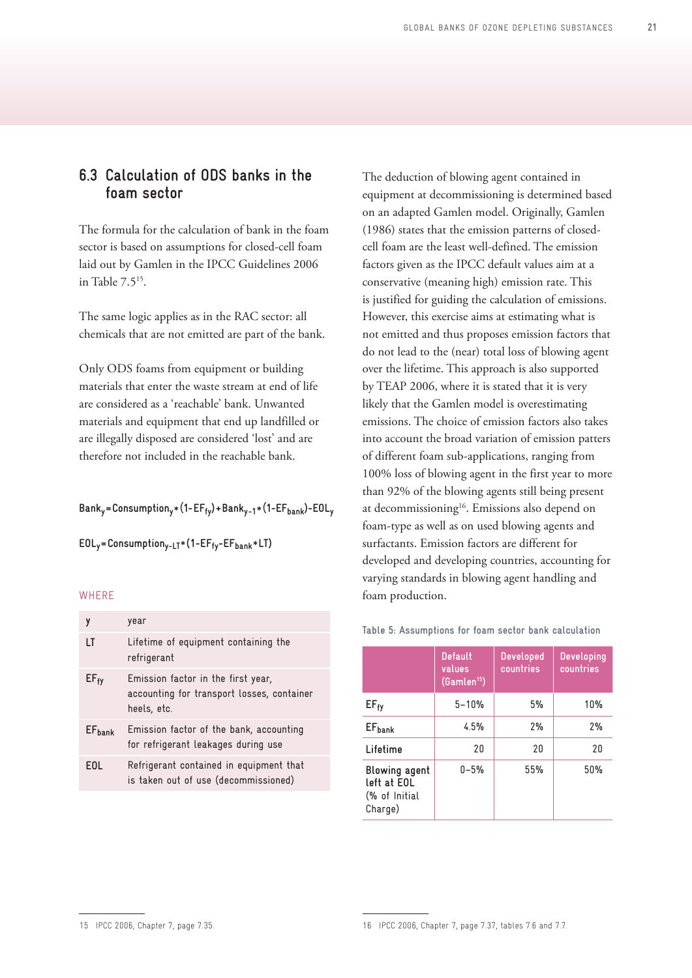## <span id="page-20-0"></span>**6.3 Calculation of ODS banks in the foam sector**

The formula for the calculation of bank in the foam sector is based on assumptions for closed-cell foam laid out by Gamlen in the IPCC Guidelines 2006 in Table 7.515.

The same logic applies as in the RAC sector: all chemicals that are not emitted are part of the bank.

Only ODS foams from equipment or building materials that enter the waste stream at end of life are considered as a 'reachable' bank. Unwanted materials and equipment that end up landfilled or are illegally disposed are considered 'lost' and are therefore not included in the reachable bank.

**Banky=Consumptiony**\*(**1-EFfy)+Banky-1**\*(**1-EFbank)-EOLy**

**EOLy=Consumptiony-LT**\***(1-EFfy-EFbank**\***LT)**

#### **WHERE**

|                    | year                                                                                            |
|--------------------|-------------------------------------------------------------------------------------------------|
| LT                 | Lifetime of equipment containing the<br>refrigerant                                             |
| $EF_{fy}$          | Emission factor in the first year,<br>accounting for transport losses, container<br>heels, etc. |
| EF <sub>bank</sub> | Emission factor of the bank, accounting<br>for refrigerant leakages during use                  |
| EOL                | Refrigerant contained in equipment that<br>is taken out of use (decommissioned)                 |

The deduction of blowing agent contained in equipment at decommissioning is determined based on an adapted Gamlen model. Originally, Gamlen (1986) states that the emission patterns of closedcell foam are the least well-defined. The emission factors given as the IPCC default values aim at a conservative (meaning high) emission rate. This is justified for guiding the calculation of emissions. However, this exercise aims at estimating what is not emitted and thus proposes emission factors that do not lead to the (near) total loss of blowing agent over the lifetime. This approach is also supported by TEAP 2006, where it is stated that it is very likely that the Gamlen model is overestimating emissions. The choice of emission factors also takes into account the broad variation of emission patters of different foam sub-applications, ranging from 100% loss of blowing agent in the first year to more than 92% of the blowing agents still being present at decommissioning<sup>16</sup>. Emissions also depend on foam-type as well as on used blowing agents and surfactants. Emission factors are different for developed and developing countries, accounting for varying standards in blowing agent handling and foam production.

|                                                                 | <b>Default</b><br>values<br>(Gamlen <sup>15</sup> ) | <b>Developed</b><br>countries | <b>Developing</b><br>countries |
|-----------------------------------------------------------------|-----------------------------------------------------|-------------------------------|--------------------------------|
| $EF_{fy}$                                                       | $5 - 10%$                                           | 5%                            | 10%                            |
| EF <sub>bank</sub>                                              | 4.5%                                                | 2%                            | 2%                             |
| Lifetime                                                        | 20                                                  | 20                            | 20                             |
| <b>Blowing agent</b><br>left at EOL<br>(% of Initial<br>Charge) | $0 - 5%$                                            | 55%                           | 50%                            |

#### Table 5: Assumptions for foam sector bank calculation

<sup>15</sup> IPCC 2006, Chapter 7, page 7.35.

<sup>16</sup> IPCC 2006, Chapter 7, page 7.37, tables 7.6 and 7.7.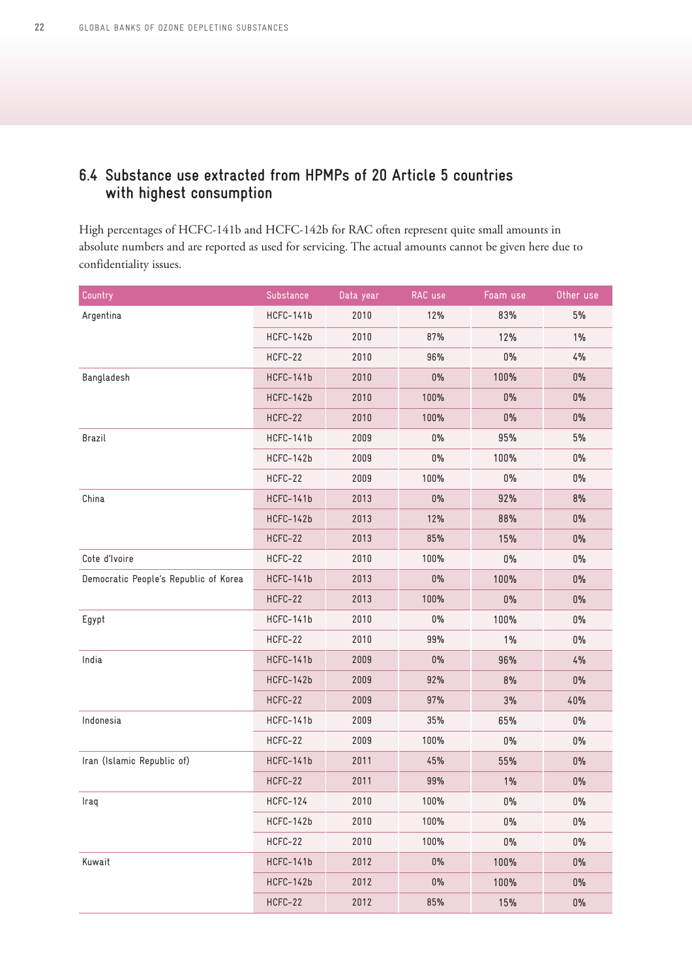# <span id="page-21-0"></span>**6.4 Substance use extracted from HPMPs of 20 Article 5 countries with highest consumption**

High percentages of HCFC-141b and HCFC-142b for RAC often represent quite small amounts in absolute numbers and are reported as used for servicing. The actual amounts cannot be given here due to confidentiality issues.

| Country                               | Substance       | Data year | RAC use                                                                                                                                                                                                                       | Foam use                                                                                                                                                                | Other use |
|---------------------------------------|-----------------|-----------|-------------------------------------------------------------------------------------------------------------------------------------------------------------------------------------------------------------------------------|-------------------------------------------------------------------------------------------------------------------------------------------------------------------------|-----------|
| Argentina                             | HCFC-141b       | 2010      | 12%                                                                                                                                                                                                                           | 83%                                                                                                                                                                     | 5%        |
|                                       | HCFC-142b       | 2010      | 87%                                                                                                                                                                                                                           | 12%                                                                                                                                                                     | $1\%$     |
|                                       | HCFC-22         | 2010      | 96%                                                                                                                                                                                                                           | $0\%$                                                                                                                                                                   | 4%        |
| Bangladesh                            | HCFC-141b       | 2010      | $0\%$                                                                                                                                                                                                                         | 100%                                                                                                                                                                    | $0\%$     |
|                                       | HCFC-142b       | 2010      | 100%                                                                                                                                                                                                                          | $0\%$                                                                                                                                                                   | 0%        |
|                                       | HCFC-22         | 2010      | 100%                                                                                                                                                                                                                          | $0\%$                                                                                                                                                                   | $0\%$     |
| Brazil                                | HCFC-141b       | 2009      | $0\%$                                                                                                                                                                                                                         | 95%<br>100%<br>$0\%$<br>92%<br>88%<br>15%<br>$0\%$<br>100%<br>$0\%$<br>100%<br>1%<br>96%<br>8%<br>3%<br>65%<br>$0\%$<br>55%<br>$1\%$<br>$0\%$<br>$0\%$<br>$0\%$<br>100% | 5%        |
|                                       | HCFC-142b       | 2009      | $0\%$                                                                                                                                                                                                                         |                                                                                                                                                                         | $0\%$     |
|                                       | HCFC-22         | 2009      | 100%<br>$0\%$<br>$0\%$<br>8%<br>12%<br>$0\%$<br>85%<br>$0\%$<br>100%<br>$0\%$<br>$0\%$<br>$0\%$<br>100%<br>$0\%$<br>$0\%$<br>$0\%$<br>99%<br>$0\%$<br>$0\%$<br>4%<br>92%<br>$0\%$<br>97%<br>40%<br>35%<br>$0\%$<br>100%<br>0% |                                                                                                                                                                         |           |
| China                                 | HCFC-141b       | 2013      |                                                                                                                                                                                                                               |                                                                                                                                                                         |           |
|                                       | HCFC-142b       | 2013      |                                                                                                                                                                                                                               |                                                                                                                                                                         |           |
|                                       | HCFC-22         | 2013      |                                                                                                                                                                                                                               |                                                                                                                                                                         |           |
| Cote d'Ivoire                         | HCFC-22         | 2010      |                                                                                                                                                                                                                               |                                                                                                                                                                         |           |
| Democratic People's Republic of Korea | HCFC-141b       | 2013      |                                                                                                                                                                                                                               |                                                                                                                                                                         |           |
|                                       | HCFC-22         | 2013      |                                                                                                                                                                                                                               |                                                                                                                                                                         |           |
| Egypt                                 | HCFC-141b       | 2010      |                                                                                                                                                                                                                               |                                                                                                                                                                         |           |
|                                       | HCFC-22         | 2010      |                                                                                                                                                                                                                               |                                                                                                                                                                         |           |
| India                                 | HCFC-141b       | 2009      |                                                                                                                                                                                                                               |                                                                                                                                                                         |           |
|                                       | HCFC-142b       | 2009      |                                                                                                                                                                                                                               |                                                                                                                                                                         |           |
|                                       | HCFC-22         | 2009      |                                                                                                                                                                                                                               |                                                                                                                                                                         |           |
| Indonesia                             | HCFC-141b       | 2009      |                                                                                                                                                                                                                               |                                                                                                                                                                         |           |
|                                       | HCFC-22         | 2009      |                                                                                                                                                                                                                               |                                                                                                                                                                         |           |
| Iran (Islamic Republic of)            | HCFC-141b       | 2011      | 45%                                                                                                                                                                                                                           |                                                                                                                                                                         | $0\%$     |
|                                       | HCFC-22         | 2011      | 99%                                                                                                                                                                                                                           |                                                                                                                                                                         | $0\%$     |
| Iraq                                  | <b>HCFC-124</b> | 2010      | 100%                                                                                                                                                                                                                          |                                                                                                                                                                         | $0\%$     |
|                                       | HCFC-142b       | 2010      | 100%                                                                                                                                                                                                                          |                                                                                                                                                                         | $0\%$     |
|                                       | HCFC-22         | 2010      | 100%                                                                                                                                                                                                                          |                                                                                                                                                                         | $0\%$     |
| Kuwait                                | HCFC-141b       | 2012      | $0\%$                                                                                                                                                                                                                         |                                                                                                                                                                         | $0\%$     |
|                                       | HCFC-142b       | 2012      | $0\%$                                                                                                                                                                                                                         | 100%                                                                                                                                                                    | $0\%$     |
|                                       | HCFC-22         | 2012      | 85%                                                                                                                                                                                                                           | 15%                                                                                                                                                                     | $0\%$     |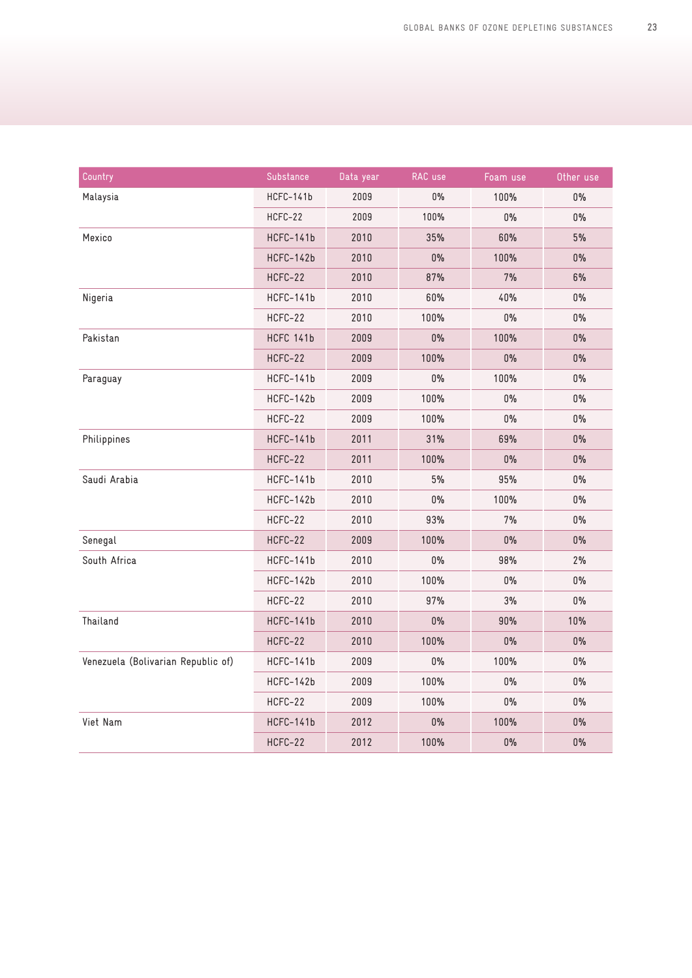| Country                            | Substance | Data year | RAC use | Foam use | Other use |
|------------------------------------|-----------|-----------|---------|----------|-----------|
| Malaysia                           | HCFC-141b | 2009      | $0\%$   | 100%     | 0%        |
|                                    | HCFC-22   | 2009      | 100%    | 0%       | 0%        |
| Mexico                             | HCFC-141b | 2010      | 35%     | 60%      | 5%        |
|                                    | HCFC-142b | 2010      | 0%      | 100%     | $0\%$     |
|                                    | HCFC-22   | 2010      | 87%     | 7%       | 6%        |
| Nigeria                            | HCFC-141b | 2010      | 60%     | 40%      | $0\%$     |
|                                    | HCFC-22   | 2010      | 100%    | $0\%$    | 0%        |
| Pakistan                           | HCFC 141b | 2009      | $0\%$   | 100%     | 0%        |
|                                    | HCFC-22   | 2009      | 100%    | 0%       | $0\%$     |
| Paraguay                           | HCFC-141b | 2009      | 0%      | 100%     | 0%        |
|                                    | HCFC-142b | 2009      | 100%    | 0%       | $0\%$     |
|                                    | HCFC-22   | 2009      | 100%    | 0%       | 0%        |
| Philippines                        | HCFC-141b | 2011      | 31%     | 69%      | 0%        |
|                                    | HCFC-22   | 2011      | 100%    | $0\%$    | $0\%$     |
| Saudi Arabia                       | HCFC-141b | 2010      | 5%      | 95%      | 0%        |
|                                    | HCFC-142b | 2010      | $0\%$   | 100%     | $0\%$     |
|                                    | HCFC-22   | 2010      | 93%     | 7%       | 0%        |
| Senegal                            | HCFC-22   | 2009      | 100%    | $0\%$    | $0\%$     |
| South Africa                       | HCFC-141b | 2010      | 0%      | 98%      | 2%        |
|                                    | HCFC-142b | 2010      | 100%    | 0%       | 0%        |
|                                    | HCFC-22   | 2010      | 97%     | 3%       | $0\%$     |
| Thailand                           | HCFC-141b | 2010      | 0%      | 90%      | 10%       |
|                                    | HCFC-22   | 2010      | 100%    | 0%       | $0\%$     |
| Venezuela (Bolivarian Republic of) | HCFC-141b | 2009      | $0\%$   | 100%     | $0\%$     |
|                                    | HCFC-142b | 2009      | 100%    | $0\%$    | $0\%$     |
|                                    | HCFC-22   | 2009      | 100%    | $0\%$    | $0\%$     |
| Viet Nam                           | HCFC-141b | 2012      | 0%      | 100%     | 0%        |
|                                    | HCFC-22   | 2012      | 100%    | 0%       | $0\%$     |